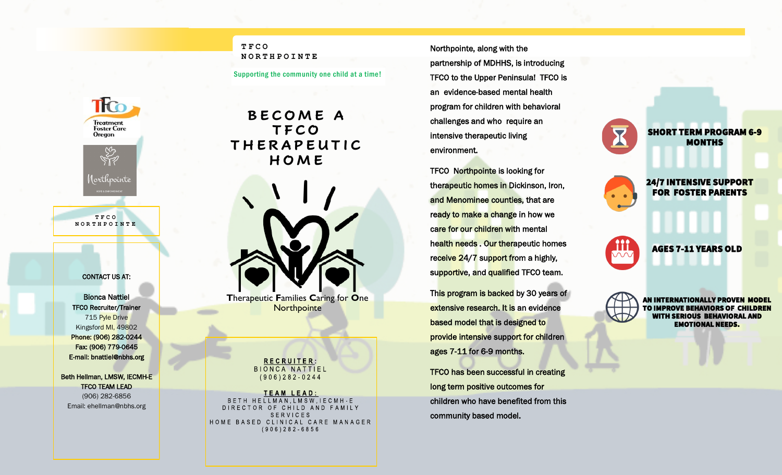## **TFCO NORTHPOINTE**

Supporting the community one child at a time!

**B E C O M E A T F C O T H E R A P E U T I C H O M E** 

**T**herapeutic **F**amilies **C**aring for **O**ne **Northpointe** 

> RECRUITER: **BIONCA NATTIEL**  $(906)282 - 0244$

**TEAM LEAD:** BETH HELLMAN.LMSW.IECMH-E DIRECTOR OF CHILD AND FAMILY **SERVICES** HOME BASED CLINICAL CARE MANAGER  $(906)282 - 6856$ 

Northpointe, along with the partnership of MDHHS, is introducing TFCO to the Upper Peninsula! TFCO is an evidence-based mental health program for children with behavioral challenges and who require an intensive therapeutic living environment.

TFCO Northpointe is looking for therapeutic homes in Dickinson, Iron, and Menominee counties, that are ready to make a change in how we care for our children with mental health needs . Our therapeutic homes receive 24/7 support from a highly, supportive, and qualified TFCO team.

This program is backed by 30 years of extensive research. It is an evidence based model that is designed to provide intensive support for children ages 7-11 for 6-9 months.

TFCO has been successful in creating long term positive outcomes for children who have benefited from this community based model.

**MONTHS** 24/7 INTENSIVE SUPPORT FOR FOSTER PARENTS

SHORT TERM PROGRAM 6-9

AGES 7-11 YEARS OLD

AN INTERNATIONALLY PROVEN MODEL TO IMPROVE BEHAVIORS OF CHILDREN *IITH SERIOUS BEHAVIORAL AND* EMOTIONAL NEEDS.

Phone: (906) 282-0244 Fax: (906) 779-0645 E-mail: bnattiel@nbhs.org Beth Hellman, LMSW, IECMH-E TFCO TEAM LEAD

CONTACT US AT:

**T F C O N O R T H P O I N T E**

**TCO** 

**Treatment**<br>**Foster Care Oregon** 

(orthpointe

Bionca Nattiel TFCO Recruiter/Trainer 715 Pyle Drive Kingsford MI, 49802

(906) 282-6856 Email: ehellman@nbhs.org